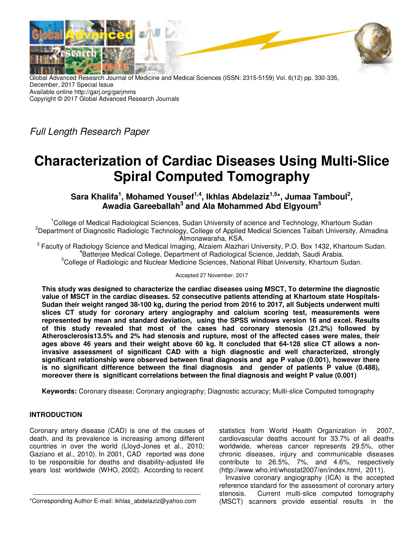

Global Advanced Research Journal of Medicine and Medical Sciences (ISSN: 2315-5159) Vol. 6(12) pp. 330-335, December, 2017 Special Issue Available online http://garj.org/garjmms Copyright © 2017 Global Advanced Research Journals

Full Length Research Paper

# **Characterization of Cardiac Diseases Using Multi-Slice Spiral Computed Tomography**

**Sara Khalifa<sup>1</sup> , Mohamed Yousef1,4, Ikhlas Abdelaziz1,5\*, Jumaa Tamboul<sup>2</sup> , Awadia Gareeballah<sup>3</sup> and Ala Mohammed Abd Elgyoum<sup>5</sup>**

<sup>1</sup>College of Medical Radiological Sciences, Sudan University of science and Technology, Khartoum Sudan <sup>2</sup>Department of Diagnostic Radiologic Technology, College of Applied Medical Sciences Taibah University, Almadina Almonawaraha, KSA.

 $^3$  Faculty of Radiology Science and Medical Imaging, Alzaiem Alazhari University, P.O. Box 1432, Khartoum Sudan. 4 Batterjee Medical College, Department of Radiological Science, Jeddah, Saudi Arabia.

<sup>5</sup>College of Radiologic and Nuclear Medicine Sciences, National Ribat University, Khartoum Sudan.

Accepted 27 November, 2017

**This study was designed to characterize the cardiac diseases using MSCT, To determine the diagnostic value of MSCT in the cardiac diseases. 52 consecutive patients attending at Khartoum state Hospitals-Sudan their weight ranged 38-100 kg, during the period from 2016 to 2017, all Subjects underwent multi slices CT study for coronary artery angiography and calcium scoring test, measurements were represented by mean and standard deviation, using the SPSS windows version 16 and excel. Results of this study revealed that most of the cases had coronary stenosis (21.2%) followed by Atherosclerosis13.5% and 2% had stenosis and rupture, most of the affected cases were males, their ages above 46 years and their weight above 60 kg. It concluded that 64-128 slice CT allows a noninvasive assessment of significant CAD with a high diagnostic and well characterized, strongly significant relationship were observed between final diagnosis and age P value (0.001), however there is no significant difference between the final diagnosis and gender of patients P value (0.488), moreover there is significant correlations between the final diagnosis and weight P value (0.001)** 

**Keywords:** Coronary disease; Coronary angiography; Diagnostic accuracy; Multi-slice Computed tomography

## **INTRODUCTION**

Coronary artery disease (CAD) is one of the causes of death, and its prevalence is increasing among different countries in over the world (Lloyd-Jones et al., 2010; Gaziano et al., 2010). In 2001, CAD reported was done to be responsible for deaths and disability-adjusted life years lost worldwide (WHO, 2002). According to recent

\*Corresponding Author E-mail: ikhlas\_abdelaziz@yahoo.com

statistics from World Health Organization in 2007, cardiovascular deaths account for 33.7% of all deaths worldwide, whereas cancer represents 29.5%, other chronic diseases, injury and communicable diseases contribute to 26.5%, 7%, and 4.6%, respectively (http://www.who.int/whostat2007/en/index.html, 2011).

Invasive coronary angiography (ICA) is the accepted reference standard for the assessment of coronary artery stenosis. Current multi-slice computed tomography (MSCT) scanners provide essential results in the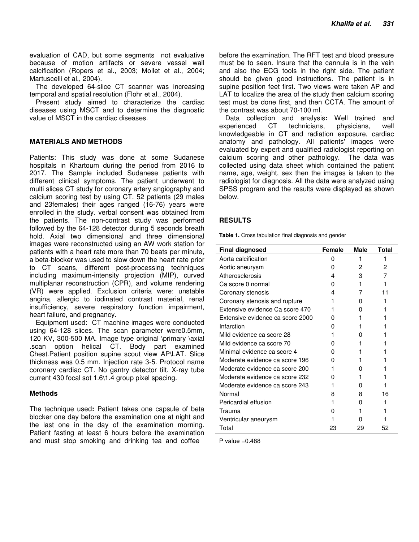evaluation of CAD, but some segments not evaluative because of motion artifacts or severe vessel wall calcification (Ropers et al., 2003; Mollet et al., 2004; Martuscelli et al., 2004).

The developed 64-slice CT scanner was increasing temporal and spatial resolution (Flohr et al., 2004).

Present study aimed to characterize the cardiac diseases using MSCT and to determine the diagnostic value of MSCT in the cardiac diseases.

### **MATERIALS AND METHODS**

Patients: This study was done at some Sudanese hospitals in Khartoum during the period from 2016 to 2017. The Sample included Sudanese patients with different clinical symptoms. The patient underwent to multi slices CT study for coronary artery angiography and calcium scoring test by using CT. 52 patients (29 males and 23females) their ages ranged (16-76) years were enrolled in the study. verbal consent was obtained from the patients. The non-contrast study was performed followed by the 64-128 detector during 5 seconds breath hold. Axial two dimensional and three dimensional images were reconstructed using an AW work station for patients with a heart rate more than 70 beats per minute, a beta-blocker was used to slow down the heart rate prior to CT scans, different post-processing techniques including maximum-intensity projection (MIP), curved multiplanar reconstruction (CPR), and volume rendering (VR) were applied. Exclusion criteria were: unstable angina, allergic to iodinated contrast material, renal insufficiency, severe respiratory function impairment, heart failure, and pregnancy.

Equipment used: CT machine images were conducted using 64-128 slices. The scan parameter were0.5mm, 120 KV, 300-500 MA. Image type original \primary \axial .scan option helical CT. Body part examined Chest.Patient position supine scout view AP\LAT. Slice thickness was 0.5 mm. Injection rate 3-5. Protocol name coronary cardiac CT. No gantry detector tilt. X-ray tube current 430 focal sot 1.6\1.4 group pixel spacing.

#### **Methods**

The technique used**:** Patient takes one capsule of beta blocker one day before the examination one at night and the last one in the day of the examination morning. Patient fasting at least 6 hours before the examination and must stop smoking and drinking tea and coffee

before the examination. The RFT test and blood pressure must be to seen. Insure that the cannula is in the vein and also the ECG tools in the right side. The patient should be given good instructions. The patient is in supine position feet first. Two views were taken AP and LAT to localize the area of the study then calcium scoring test must be done first, and then CCTA. The amount of the contrast was about 70-100 ml.

Data collection and analysis**:** Well trained and experienced CT technicians, physicians, well knowledgeable in CT and radiation exposure, cardiac anatomy and pathology. All patients' images were evaluated by expert and qualified radiologist reporting on calcium scoring and other pathology. The data was collected using data sheet which contained the patient name, age, weight, sex then the images is taken to the radiologist for diagnosis. All the data were analyzed using SPSS program and the results were displayed as shown below.

#### **RESULTS**

**Table 1.** Cross tabulation final diagnosis and gender

| <b>Final diagnosed</b>           | Female | Male | Total |
|----------------------------------|--------|------|-------|
| Aorta calcification              | o      |      |       |
| Aortic aneurysm                  | o      | 2    | 2     |
| Atherosclerosis                  | 4      | 3    | 7     |
| Ca score 0 normal                | o      | 1    |       |
| Coronary stenosis                | 4      | 7    | 11    |
| Coronary stenosis and rupture    |        | O    |       |
| Extensive evidence Ca score 470  |        | O    |       |
| Extensive evidence ca score 2000 | 0      |      |       |
| Infarction                       |        |      |       |
| Mild evidence ca score 28        |        | 0    |       |
| Mild evidence ca score 70        |        |      |       |
| Minimal evidence ca score 4      |        |      |       |
| Moderate evidence ca score 196   |        |      |       |
| Moderate evidence ca score 200   |        | 0    |       |
| Moderate evidence ca score 232   |        |      |       |
| Moderate evidence ca score 243   |        | O    |       |
| Normal                           | 8      | 8    | 16    |
| Pericardial effusion             |        | 0    | 1     |
| Trauma                           |        |      |       |
| Ventricular aneurysm             |        |      |       |
| Total                            | 23     | 29   | 52    |

P value  $=0.488$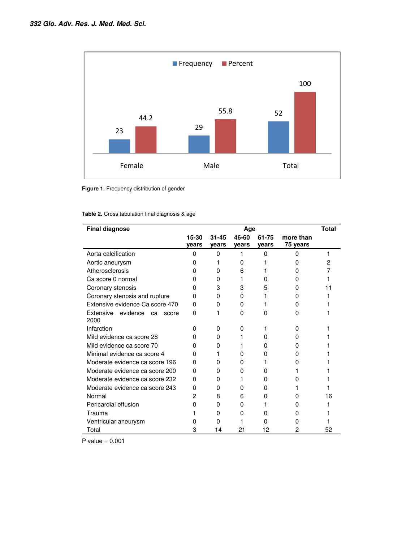

**Figure 1.** Frequency distribution of gender

| <b>Table 2.</b> Cross tabulation final diagnosis & age |  |  |  |  |  |  |
|--------------------------------------------------------|--|--|--|--|--|--|
|--------------------------------------------------------|--|--|--|--|--|--|

| <b>Final diagnose</b>                        | Age      |           |              |       |           | <b>Total</b> |
|----------------------------------------------|----------|-----------|--------------|-------|-----------|--------------|
|                                              | 15-30    | $31 - 45$ | 46-60        | 61-75 | more than |              |
|                                              | years    | years     | years        | years | 75 years  |              |
| Aorta calcification                          | 0        | 0         | 1            | 0     | 0         | 1            |
| Aortic aneurysm                              | O        |           | O            |       |           | 2            |
| Atherosclerosis                              | n        | 0         | 6            |       | 0         |              |
| Ca score 0 normal                            | o        | 0         |              | O     |           |              |
| Coronary stenosis                            | O        | 3         | 3            | 5     | 0         |              |
| Coronary stenosis and rupture                | 0        | 0         | O            |       |           |              |
| Extensive evidence Ca score 470              | 0        | 0         | 0            |       | O         |              |
| Extensive<br>evidence<br>ca<br>score<br>2000 | 0        |           | 0            | O     | O         |              |
| Infarction                                   | O        | O         | <sup>0</sup> |       | 0         |              |
| Mild evidence ca score 28                    | O        | 0         |              | O     | O         |              |
| Mild evidence ca score 70                    | 0        | 0         |              | O     | 0         |              |
| Minimal evidence ca score 4                  | 0        |           | 0            | O     | o         |              |
| Moderate evidence ca score 196               | 0        | O         | o            |       | O         |              |
| Moderate evidence ca score 200               | $\Omega$ | 0         | 0            | O     |           |              |
| Moderate evidence ca score 232               | 0        | 0         |              | o     |           |              |
| Moderate evidence ca score 243               | 0        | 0         | 0            | O     |           |              |
| Normal                                       | 2        | 8         | 6            | O     | O         | 16           |
| Pericardial effusion                         | O        | 0         | 0            |       | o         |              |
| Trauma                                       |          | 0         | 0            | O     | O         |              |
| Ventricular aneurysm                         |          | 0         |              | 0     | O         |              |
| Total                                        | 3        | 14        | 21           | 12    | 2         | 52           |

P value  $= 0.001$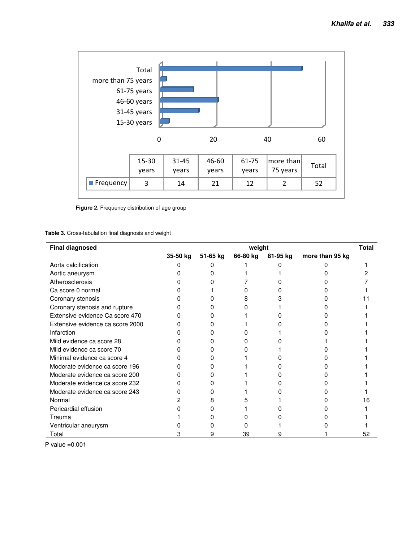

**Figure 2.** Frequency distribution of age group

#### **Table 3.** Cross-tabulation final diagnosis and weight

| <b>Final diagnosed</b>           | <b>Total</b><br>weight |          |          |          |                 |    |
|----------------------------------|------------------------|----------|----------|----------|-----------------|----|
|                                  | 35-50 kg               | 51-65 kg | 66-80 kg | 81-95 kg | more than 95 kg |    |
| Aorta calcification              |                        |          |          |          |                 |    |
| Aortic aneurysm                  |                        |          |          |          |                 |    |
| Atherosclerosis                  |                        |          |          |          |                 |    |
| Ca score 0 normal                |                        |          |          |          |                 |    |
| Coronary stenosis                |                        |          |          |          |                 |    |
| Coronary stenosis and rupture    |                        |          |          |          |                 |    |
| Extensive evidence Ca score 470  |                        |          |          |          |                 |    |
| Extensive evidence ca score 2000 |                        |          |          |          |                 |    |
| Infarction                       |                        |          |          |          |                 |    |
| Mild evidence ca score 28        |                        |          |          |          |                 |    |
| Mild evidence ca score 70        |                        |          |          |          |                 |    |
| Minimal evidence ca score 4      |                        |          |          |          |                 |    |
| Moderate evidence ca score 196   |                        |          |          |          |                 |    |
| Moderate evidence ca score 200   |                        |          |          |          |                 |    |
| Moderate evidence ca score 232   |                        |          |          |          |                 |    |
| Moderate evidence ca score 243   |                        |          |          |          |                 |    |
| Normal                           |                        |          |          |          |                 |    |
| Pericardial effusion             |                        |          |          |          |                 |    |
| Trauma                           |                        |          |          |          |                 |    |
| Ventricular aneurysm             |                        |          |          |          |                 |    |
| Total                            |                        |          | 39       |          |                 | 52 |

P value =0.001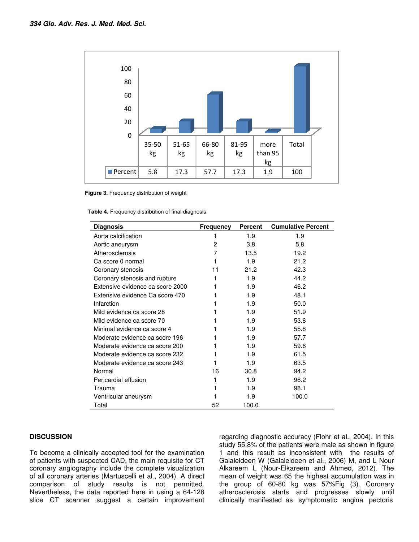

**Figure 3.** Frequency distribution of weight

|  |  |  | Table 4. Frequency distribution of final diagnosis |  |  |
|--|--|--|----------------------------------------------------|--|--|
|--|--|--|----------------------------------------------------|--|--|

| <b>Diagnosis</b>                 | Frequency      | Percent | <b>Cumulative Percent</b> |
|----------------------------------|----------------|---------|---------------------------|
| Aorta calcification              |                | 1.9     | 1.9                       |
| Aortic aneurysm                  | $\overline{c}$ | 3.8     | 5.8                       |
| Atherosclerosis                  | 7              | 13.5    | 19.2                      |
| Ca score 0 normal                |                | 1.9     | 21.2                      |
| Coronary stenosis                | 11             | 21.2    | 42.3                      |
| Coronary stenosis and rupture    | 1              | 1.9     | 44.2                      |
| Extensive evidence ca score 2000 |                | 1.9     | 46.2                      |
| Extensive evidence Ca score 470  |                | 1.9     | 48.1                      |
| Infarction                       |                | 1.9     | 50.0                      |
| Mild evidence ca score 28        |                | 1.9     | 51.9                      |
| Mild evidence ca score 70        |                | 1.9     | 53.8                      |
| Minimal evidence ca score 4      |                | 1.9     | 55.8                      |
| Moderate evidence ca score 196   |                | 1.9     | 57.7                      |
| Moderate evidence ca score 200   |                | 1.9     | 59.6                      |
| Moderate evidence ca score 232   |                | 1.9     | 61.5                      |
| Moderate evidence ca score 243   |                | 1.9     | 63.5                      |
| Normal                           | 16             | 30.8    | 94.2                      |
| Pericardial effusion             |                | 1.9     | 96.2                      |
| Trauma                           |                | 1.9     | 98.1                      |
| Ventricular aneurysm             |                | 1.9     | 100.0                     |
| Total                            | 52             | 100.0   |                           |

### **DISCUSSION**

To become a clinically accepted tool for the examination of patients with suspected CAD, the main requisite for CT coronary angiography include the complete visualization of all coronary arteries (Martuscelli et al., 2004). A direct comparison of study results is not permitted. Nevertheless, the data reported here in using a 64-128 slice CT scanner suggest a certain improvement

regarding diagnostic accuracy (Flohr et al., 2004). In this study 55.8% of the patients were male as shown in figure 1 and this result as inconsistent with the results of Galaleldeen W (Galaleldeen et al., 2006) M, and L Nour Alkareem L (Nour-Elkareem and Ahmed, 2012). The mean of weight was 65 the highest accumulation was in the group of 60-80 kg was 57%Fig (3). Coronary atherosclerosis starts and progresses slowly until clinically manifested as symptomatic angina pectoris